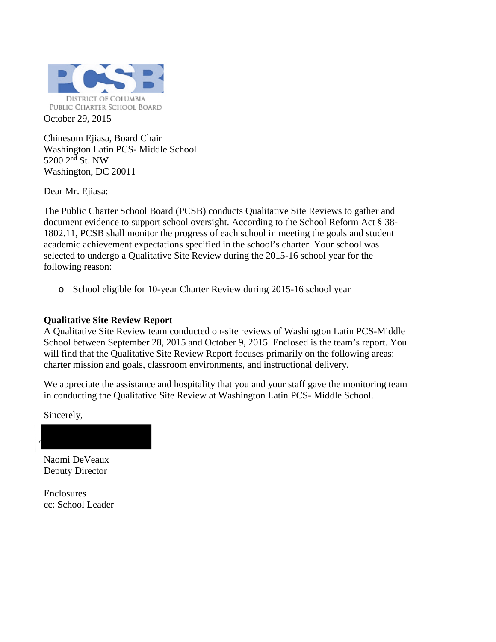

Chinesom Ejiasa, Board Chair Washington Latin PCS- Middle School 5200 2<sup>nd</sup> St. NW Washington, DC 20011

Dear Mr. Ejiasa:

The Public Charter School Board (PCSB) conducts Qualitative Site Reviews to gather and document evidence to support school oversight. According to the School Reform Act § 38- 1802.11, PCSB shall monitor the progress of each school in meeting the goals and student academic achievement expectations specified in the school's charter. Your school was selected to undergo a Qualitative Site Review during the 2015-16 school year for the following reason:

o School eligible for 10-year Charter Review during 2015-16 school year

### **Qualitative Site Review Report**

A Qualitative Site Review team conducted on-site reviews of Washington Latin PCS-Middle School between September 28, 2015 and October 9, 2015. Enclosed is the team's report. You will find that the Qualitative Site Review Report focuses primarily on the following areas: charter mission and goals, classroom environments, and instructional delivery.

We appreciate the assistance and hospitality that you and your staff gave the monitoring team in conducting the Qualitative Site Review at Washington Latin PCS- Middle School.

Sincerely,

Naomi DeVeaux Deputy Director

Enclosures cc: School Leader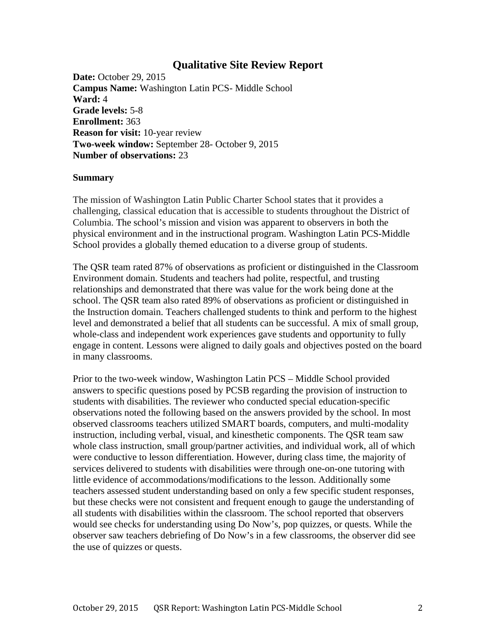### **Qualitative Site Review Report**

**Date:** October 29, 2015 **Campus Name:** Washington Latin PCS- Middle School **Ward:** 4 **Grade levels:** 5-8 **Enrollment:** 363 **Reason for visit:** 10-year review **Two-week window:** September 28- October 9, 2015 **Number of observations:** 23

#### **Summary**

The mission of Washington Latin Public Charter School states that it provides a challenging, classical education that is accessible to students throughout the District of Columbia. The school's mission and vision was apparent to observers in both the physical environment and in the instructional program. Washington Latin PCS-Middle School provides a globally themed education to a diverse group of students.

The QSR team rated 87% of observations as proficient or distinguished in the Classroom Environment domain. Students and teachers had polite, respectful, and trusting relationships and demonstrated that there was value for the work being done at the school. The QSR team also rated 89% of observations as proficient or distinguished in the Instruction domain. Teachers challenged students to think and perform to the highest level and demonstrated a belief that all students can be successful. A mix of small group, whole-class and independent work experiences gave students and opportunity to fully engage in content. Lessons were aligned to daily goals and objectives posted on the board in many classrooms.

Prior to the two-week window, Washington Latin PCS – Middle School provided answers to specific questions posed by PCSB regarding the provision of instruction to students with disabilities. The reviewer who conducted special education-specific observations noted the following based on the answers provided by the school. In most observed classrooms teachers utilized SMART boards, computers, and multi-modality instruction, including verbal, visual, and kinesthetic components. The QSR team saw whole class instruction, small group/partner activities, and individual work, all of which were conductive to lesson differentiation. However, during class time, the majority of services delivered to students with disabilities were through one-on-one tutoring with little evidence of accommodations/modifications to the lesson. Additionally some teachers assessed student understanding based on only a few specific student responses, but these checks were not consistent and frequent enough to gauge the understanding of all students with disabilities within the classroom. The school reported that observers would see checks for understanding using Do Now's, pop quizzes, or quests. While the observer saw teachers debriefing of Do Now's in a few classrooms, the observer did see the use of quizzes or quests.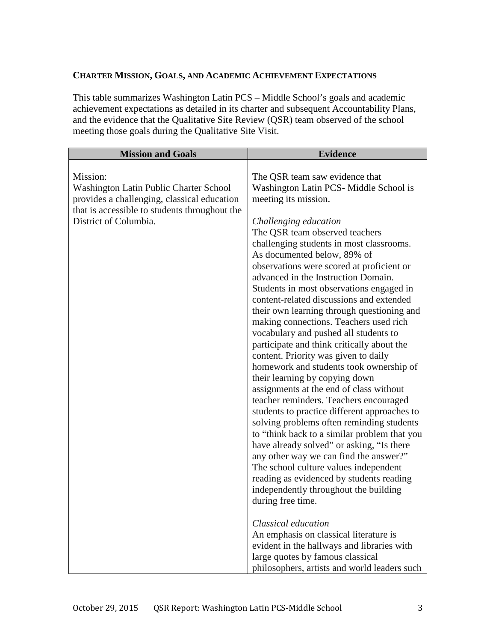### **CHARTER MISSION, GOALS, AND ACADEMIC ACHIEVEMENT EXPECTATIONS**

This table summarizes Washington Latin PCS – Middle School's goals and academic achievement expectations as detailed in its charter and subsequent Accountability Plans, and the evidence that the Qualitative Site Review (QSR) team observed of the school meeting those goals during the Qualitative Site Visit.

| <b>Mission and Goals</b>                                                                                                                                                    | <b>Evidence</b>                                                                                                                                                                                                                                                                                                                                                                                                                                                                                                                                                                                                                                                                                                                                                                                                                                                                                                                                                                                                                                                                                                                                                                                   |
|-----------------------------------------------------------------------------------------------------------------------------------------------------------------------------|---------------------------------------------------------------------------------------------------------------------------------------------------------------------------------------------------------------------------------------------------------------------------------------------------------------------------------------------------------------------------------------------------------------------------------------------------------------------------------------------------------------------------------------------------------------------------------------------------------------------------------------------------------------------------------------------------------------------------------------------------------------------------------------------------------------------------------------------------------------------------------------------------------------------------------------------------------------------------------------------------------------------------------------------------------------------------------------------------------------------------------------------------------------------------------------------------|
| Mission:<br>Washington Latin Public Charter School<br>provides a challenging, classical education<br>that is accessible to students throughout the<br>District of Columbia. | The QSR team saw evidence that<br>Washington Latin PCS-Middle School is<br>meeting its mission.<br>Challenging education<br>The QSR team observed teachers<br>challenging students in most classrooms.<br>As documented below, 89% of<br>observations were scored at proficient or<br>advanced in the Instruction Domain.<br>Students in most observations engaged in<br>content-related discussions and extended<br>their own learning through questioning and<br>making connections. Teachers used rich<br>vocabulary and pushed all students to<br>participate and think critically about the<br>content. Priority was given to daily<br>homework and students took ownership of<br>their learning by copying down<br>assignments at the end of class without<br>teacher reminders. Teachers encouraged<br>students to practice different approaches to<br>solving problems often reminding students<br>to "think back to a similar problem that you<br>have already solved" or asking, "Is there<br>any other way we can find the answer?"<br>The school culture values independent<br>reading as evidenced by students reading<br>independently throughout the building<br>during free time. |
|                                                                                                                                                                             | Classical education<br>An emphasis on classical literature is<br>evident in the hallways and libraries with<br>large quotes by famous classical<br>philosophers, artists and world leaders such                                                                                                                                                                                                                                                                                                                                                                                                                                                                                                                                                                                                                                                                                                                                                                                                                                                                                                                                                                                                   |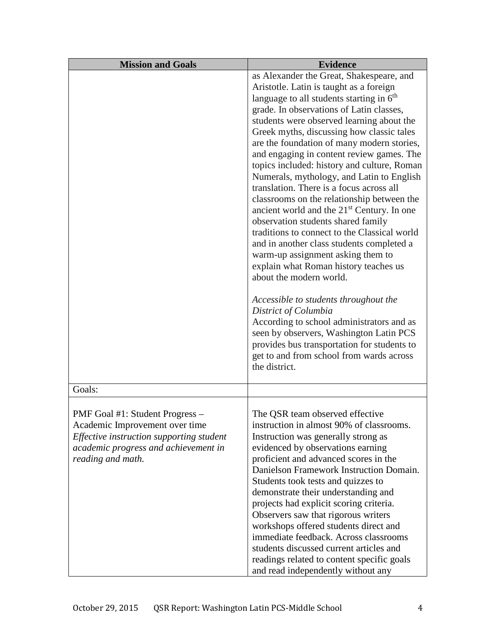| <b>Mission and Goals</b>                                                                                                                                                   | <b>Evidence</b>                                                                                                                                                                                                                                                                                                                                                                                                                                                                                                                                                                                                                            |
|----------------------------------------------------------------------------------------------------------------------------------------------------------------------------|--------------------------------------------------------------------------------------------------------------------------------------------------------------------------------------------------------------------------------------------------------------------------------------------------------------------------------------------------------------------------------------------------------------------------------------------------------------------------------------------------------------------------------------------------------------------------------------------------------------------------------------------|
|                                                                                                                                                                            | as Alexander the Great, Shakespeare, and                                                                                                                                                                                                                                                                                                                                                                                                                                                                                                                                                                                                   |
|                                                                                                                                                                            | Aristotle. Latin is taught as a foreign                                                                                                                                                                                                                                                                                                                                                                                                                                                                                                                                                                                                    |
|                                                                                                                                                                            | language to all students starting in 6 <sup>th</sup>                                                                                                                                                                                                                                                                                                                                                                                                                                                                                                                                                                                       |
|                                                                                                                                                                            | grade. In observations of Latin classes,                                                                                                                                                                                                                                                                                                                                                                                                                                                                                                                                                                                                   |
|                                                                                                                                                                            | students were observed learning about the                                                                                                                                                                                                                                                                                                                                                                                                                                                                                                                                                                                                  |
|                                                                                                                                                                            | Greek myths, discussing how classic tales                                                                                                                                                                                                                                                                                                                                                                                                                                                                                                                                                                                                  |
|                                                                                                                                                                            | are the foundation of many modern stories,<br>and engaging in content review games. The<br>topics included: history and culture, Roman<br>Numerals, mythology, and Latin to English<br>translation. There is a focus across all<br>classrooms on the relationship between the<br>ancient world and the $21st$ Century. In one<br>observation students shared family<br>traditions to connect to the Classical world<br>and in another class students completed a<br>warm-up assignment asking them to<br>explain what Roman history teaches us<br>about the modern world.<br>Accessible to students throughout the<br>District of Columbia |
|                                                                                                                                                                            | According to school administrators and as<br>seen by observers, Washington Latin PCS<br>provides bus transportation for students to<br>get to and from school from wards across<br>the district.                                                                                                                                                                                                                                                                                                                                                                                                                                           |
| Goals:                                                                                                                                                                     |                                                                                                                                                                                                                                                                                                                                                                                                                                                                                                                                                                                                                                            |
| PMF Goal #1: Student Progress –<br>Academic Improvement over time<br>Effective instruction supporting student<br>academic progress and achievement in<br>reading and math. | The QSR team observed effective<br>instruction in almost 90% of classrooms.<br>Instruction was generally strong as<br>evidenced by observations earning<br>proficient and advanced scores in the<br>Danielson Framework Instruction Domain.<br>Students took tests and quizzes to<br>demonstrate their understanding and<br>projects had explicit scoring criteria.<br>Observers saw that rigorous writers<br>workshops offered students direct and<br>immediate feedback. Across classrooms<br>students discussed current articles and<br>readings related to content specific goals<br>and read independently without any                |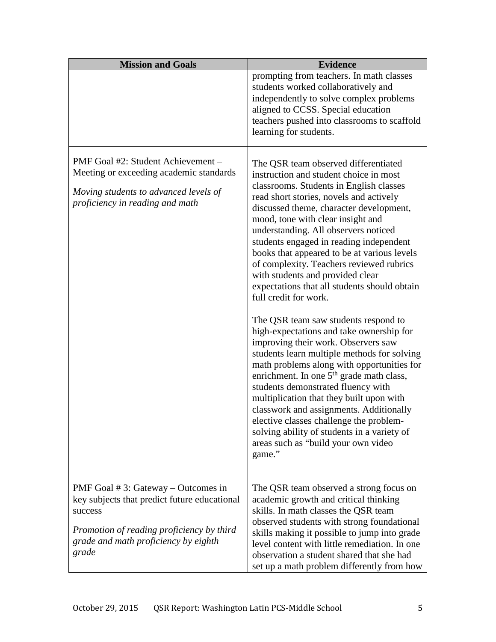| <b>Mission and Goals</b>                                                                                                                                                                        | <b>Evidence</b>                                                                                                                                                                                                                                                                                                                                                                                                                                                                                                                                                                                                                                                                                                                                                                                                                                                                                                                                                                                                                                                                                         |
|-------------------------------------------------------------------------------------------------------------------------------------------------------------------------------------------------|---------------------------------------------------------------------------------------------------------------------------------------------------------------------------------------------------------------------------------------------------------------------------------------------------------------------------------------------------------------------------------------------------------------------------------------------------------------------------------------------------------------------------------------------------------------------------------------------------------------------------------------------------------------------------------------------------------------------------------------------------------------------------------------------------------------------------------------------------------------------------------------------------------------------------------------------------------------------------------------------------------------------------------------------------------------------------------------------------------|
|                                                                                                                                                                                                 | prompting from teachers. In math classes<br>students worked collaboratively and<br>independently to solve complex problems<br>aligned to CCSS. Special education<br>teachers pushed into classrooms to scaffold<br>learning for students.                                                                                                                                                                                                                                                                                                                                                                                                                                                                                                                                                                                                                                                                                                                                                                                                                                                               |
| PMF Goal #2: Student Achievement -<br>Meeting or exceeding academic standards<br>Moving students to advanced levels of<br>proficiency in reading and math                                       | The QSR team observed differentiated<br>instruction and student choice in most<br>classrooms. Students in English classes<br>read short stories, novels and actively<br>discussed theme, character development,<br>mood, tone with clear insight and<br>understanding. All observers noticed<br>students engaged in reading independent<br>books that appeared to be at various levels<br>of complexity. Teachers reviewed rubrics<br>with students and provided clear<br>expectations that all students should obtain<br>full credit for work.<br>The QSR team saw students respond to<br>high-expectations and take ownership for<br>improving their work. Observers saw<br>students learn multiple methods for solving<br>math problems along with opportunities for<br>enrichment. In one 5 <sup>th</sup> grade math class,<br>students demonstrated fluency with<br>multiplication that they built upon with<br>classwork and assignments. Additionally<br>elective classes challenge the problem-<br>solving ability of students in a variety of<br>areas such as "build your own video<br>game." |
| PMF Goal $# 3$ : Gateway – Outcomes in<br>key subjects that predict future educational<br>success<br>Promotion of reading proficiency by third<br>grade and math proficiency by eighth<br>grade | The QSR team observed a strong focus on<br>academic growth and critical thinking<br>skills. In math classes the QSR team<br>observed students with strong foundational<br>skills making it possible to jump into grade<br>level content with little remediation. In one<br>observation a student shared that she had<br>set up a math problem differently from how                                                                                                                                                                                                                                                                                                                                                                                                                                                                                                                                                                                                                                                                                                                                      |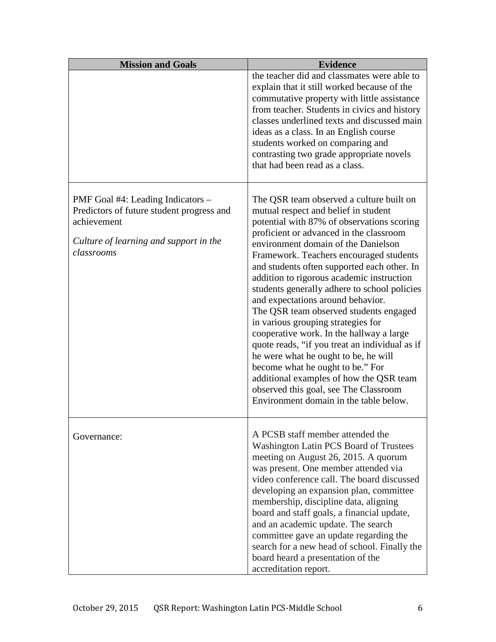| <b>Mission and Goals</b>                                                                                                                              | <b>Evidence</b>                                                                                                                                                                                                                                                                                                                                                                                                                                                                                                                                                                                                                                                                                                                                                                                                                      |
|-------------------------------------------------------------------------------------------------------------------------------------------------------|--------------------------------------------------------------------------------------------------------------------------------------------------------------------------------------------------------------------------------------------------------------------------------------------------------------------------------------------------------------------------------------------------------------------------------------------------------------------------------------------------------------------------------------------------------------------------------------------------------------------------------------------------------------------------------------------------------------------------------------------------------------------------------------------------------------------------------------|
|                                                                                                                                                       | the teacher did and classmates were able to<br>explain that it still worked because of the<br>commutative property with little assistance<br>from teacher. Students in civics and history<br>classes underlined texts and discussed main<br>ideas as a class. In an English course<br>students worked on comparing and<br>contrasting two grade appropriate novels<br>that had been read as a class.                                                                                                                                                                                                                                                                                                                                                                                                                                 |
| PMF Goal #4: Leading Indicators –<br>Predictors of future student progress and<br>achievement<br>Culture of learning and support in the<br>classrooms | The QSR team observed a culture built on<br>mutual respect and belief in student<br>potential with 87% of observations scoring<br>proficient or advanced in the classroom<br>environment domain of the Danielson<br>Framework. Teachers encouraged students<br>and students often supported each other. In<br>addition to rigorous academic instruction<br>students generally adhere to school policies<br>and expectations around behavior.<br>The QSR team observed students engaged<br>in various grouping strategies for<br>cooperative work. In the hallway a large<br>quote reads, "if you treat an individual as if<br>he were what he ought to be, he will<br>become what he ought to be." For<br>additional examples of how the QSR team<br>observed this goal, see The Classroom<br>Environment domain in the table below. |
| Governance:                                                                                                                                           | A PCSB staff member attended the<br>Washington Latin PCS Board of Trustees<br>meeting on August 26, 2015. A quorum<br>was present. One member attended via<br>video conference call. The board discussed<br>developing an expansion plan, committee<br>membership, discipline data, aligning<br>board and staff goals, a financial update,<br>and an academic update. The search<br>committee gave an update regarding the<br>search for a new head of school. Finally the<br>board heard a presentation of the<br>accreditation report.                                                                                                                                                                                                                                                                                             |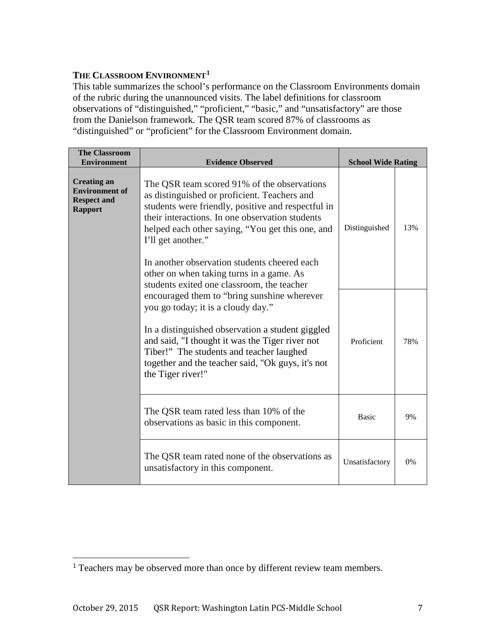### **THE CLASSROOM ENVIRONMENT1**

This table summarizes the school's performance on the Classroom Environments domain of the rubric during the unannounced visits. The label definitions for classroom observations of "distinguished," "proficient," "basic," and "unsatisfactory" are those from the Danielson framework. The QSR team scored 87% of classrooms as "distinguished" or "proficient" for the Classroom Environment domain.

| <b>The Classroom</b><br><b>Environment</b>                                          | <b>Evidence Observed</b>                                                                                                                                                                                                                                                                                                                                                                                                 | <b>School Wide Rating</b> |     |
|-------------------------------------------------------------------------------------|--------------------------------------------------------------------------------------------------------------------------------------------------------------------------------------------------------------------------------------------------------------------------------------------------------------------------------------------------------------------------------------------------------------------------|---------------------------|-----|
| <b>Creating an</b><br><b>Environment</b> of<br><b>Respect and</b><br><b>Rapport</b> | The QSR team scored 91% of the observations<br>as distinguished or proficient. Teachers and<br>students were friendly, positive and respectful in<br>their interactions. In one observation students<br>helped each other saying, "You get this one, and<br>I'll get another."<br>In another observation students cheered each<br>other on when taking turns in a game. As<br>students exited one classroom, the teacher | Distinguished             | 13% |
|                                                                                     | encouraged them to "bring sunshine wherever<br>you go today; it is a cloudy day."<br>In a distinguished observation a student giggled<br>and said, "I thought it was the Tiger river not<br>Tiber!" The students and teacher laughed<br>together and the teacher said, "Ok guys, it's not<br>the Tiger river!"                                                                                                           | Proficient                | 78% |
|                                                                                     | The QSR team rated less than 10% of the<br>observations as basic in this component.                                                                                                                                                                                                                                                                                                                                      | <b>Basic</b>              | 9%  |
|                                                                                     | The QSR team rated none of the observations as<br>unsatisfactory in this component.                                                                                                                                                                                                                                                                                                                                      | Unsatisfactory            | 0%  |

<sup>&</sup>lt;sup>1</sup> Teachers may be observed more than once by different review team members.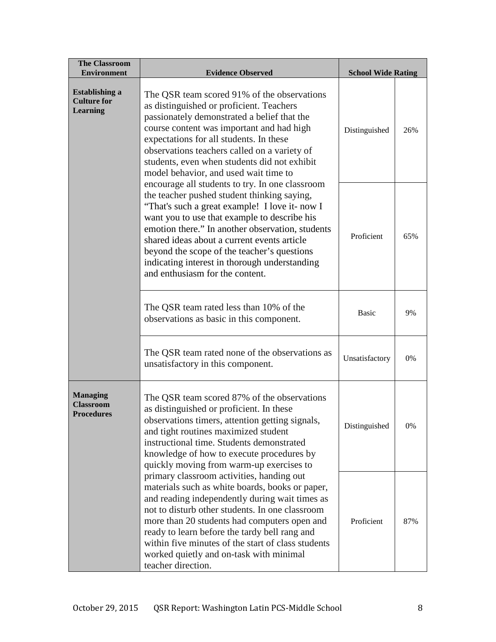| <b>The Classroom</b><br><b>Environment</b>                                                                                                                                                                                                                                                                                                                                                                                                                                                                                                                                                                                                                                                                                                                                                                                                                                                                                                                                                                                                                        | <b>Evidence Observed</b>                                                                                                                                                                                                                                                                                                                                                                                                  |                |     |
|-------------------------------------------------------------------------------------------------------------------------------------------------------------------------------------------------------------------------------------------------------------------------------------------------------------------------------------------------------------------------------------------------------------------------------------------------------------------------------------------------------------------------------------------------------------------------------------------------------------------------------------------------------------------------------------------------------------------------------------------------------------------------------------------------------------------------------------------------------------------------------------------------------------------------------------------------------------------------------------------------------------------------------------------------------------------|---------------------------------------------------------------------------------------------------------------------------------------------------------------------------------------------------------------------------------------------------------------------------------------------------------------------------------------------------------------------------------------------------------------------------|----------------|-----|
| <b>Establishing a</b><br>The QSR team scored 91% of the observations<br><b>Culture for</b><br>as distinguished or proficient. Teachers<br><b>Learning</b><br>passionately demonstrated a belief that the<br>course content was important and had high<br>expectations for all students. In these<br>observations teachers called on a variety of<br>students, even when students did not exhibit<br>model behavior, and used wait time to<br>encourage all students to try. In one classroom<br>the teacher pushed student thinking saying,<br>"That's such a great example! I love it- now I<br>want you to use that example to describe his<br>emotion there." In another observation, students<br>shared ideas about a current events article<br>beyond the scope of the teacher's questions<br>indicating interest in thorough understanding<br>and enthusiasm for the content.<br>The QSR team rated less than 10% of the<br>observations as basic in this component.<br>The QSR team rated none of the observations as<br>unsatisfactory in this component. | <b>School Wide Rating</b><br>Distinguished                                                                                                                                                                                                                                                                                                                                                                                | 26%            |     |
|                                                                                                                                                                                                                                                                                                                                                                                                                                                                                                                                                                                                                                                                                                                                                                                                                                                                                                                                                                                                                                                                   |                                                                                                                                                                                                                                                                                                                                                                                                                           | Proficient     | 65% |
|                                                                                                                                                                                                                                                                                                                                                                                                                                                                                                                                                                                                                                                                                                                                                                                                                                                                                                                                                                                                                                                                   |                                                                                                                                                                                                                                                                                                                                                                                                                           | <b>Basic</b>   | 9%  |
|                                                                                                                                                                                                                                                                                                                                                                                                                                                                                                                                                                                                                                                                                                                                                                                                                                                                                                                                                                                                                                                                   |                                                                                                                                                                                                                                                                                                                                                                                                                           | Unsatisfactory | 0%  |
| <b>Managing</b><br><b>Classroom</b><br><b>Procedures</b>                                                                                                                                                                                                                                                                                                                                                                                                                                                                                                                                                                                                                                                                                                                                                                                                                                                                                                                                                                                                          | The QSR team scored 87% of the observations<br>as distinguished or proficient. In these<br>observations timers, attention getting signals,<br>and tight routines maximized student<br>instructional time. Students demonstrated<br>knowledge of how to execute procedures by<br>quickly moving from warm-up exercises to                                                                                                  | Distinguished  | 0%  |
|                                                                                                                                                                                                                                                                                                                                                                                                                                                                                                                                                                                                                                                                                                                                                                                                                                                                                                                                                                                                                                                                   | primary classroom activities, handing out<br>materials such as white boards, books or paper,<br>and reading independently during wait times as<br>not to disturb other students. In one classroom<br>more than 20 students had computers open and<br>ready to learn before the tardy bell rang and<br>within five minutes of the start of class students<br>worked quietly and on-task with minimal<br>teacher direction. | Proficient     | 87% |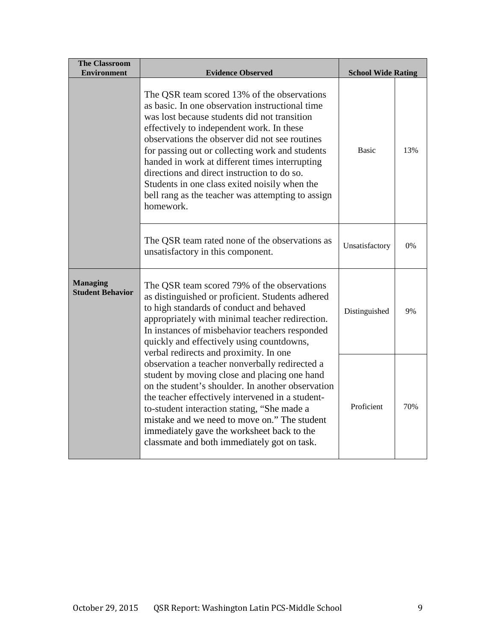| <b>The Classroom</b><br><b>Environment</b>                                           | <b>Evidence Observed</b>                                                                                                                                                                                                                                                                                                                                                                                                                                                                                             | <b>School Wide Rating</b> |     |
|--------------------------------------------------------------------------------------|----------------------------------------------------------------------------------------------------------------------------------------------------------------------------------------------------------------------------------------------------------------------------------------------------------------------------------------------------------------------------------------------------------------------------------------------------------------------------------------------------------------------|---------------------------|-----|
|                                                                                      | The QSR team scored 13% of the observations<br>as basic. In one observation instructional time<br>was lost because students did not transition<br>effectively to independent work. In these<br>observations the observer did not see routines<br>for passing out or collecting work and students<br>handed in work at different times interrupting<br>directions and direct instruction to do so.<br>Students in one class exited noisily when the<br>bell rang as the teacher was attempting to assign<br>homework. | <b>Basic</b>              | 13% |
|                                                                                      | The QSR team rated none of the observations as<br>unsatisfactory in this component.                                                                                                                                                                                                                                                                                                                                                                                                                                  | Unsatisfactory            | 0%  |
| <b>Managing</b><br><b>Student Behavior</b><br>verbal redirects and proximity. In one | The QSR team scored 79% of the observations<br>as distinguished or proficient. Students adhered<br>to high standards of conduct and behaved<br>appropriately with minimal teacher redirection.<br>In instances of misbehavior teachers responded<br>quickly and effectively using countdowns,                                                                                                                                                                                                                        | Distinguished             | 9%  |
|                                                                                      | observation a teacher nonverbally redirected a<br>student by moving close and placing one hand<br>on the student's shoulder. In another observation<br>the teacher effectively intervened in a student-<br>to-student interaction stating, "She made a<br>mistake and we need to move on." The student<br>immediately gave the worksheet back to the<br>classmate and both immediately got on task.                                                                                                                  | Proficient                | 70% |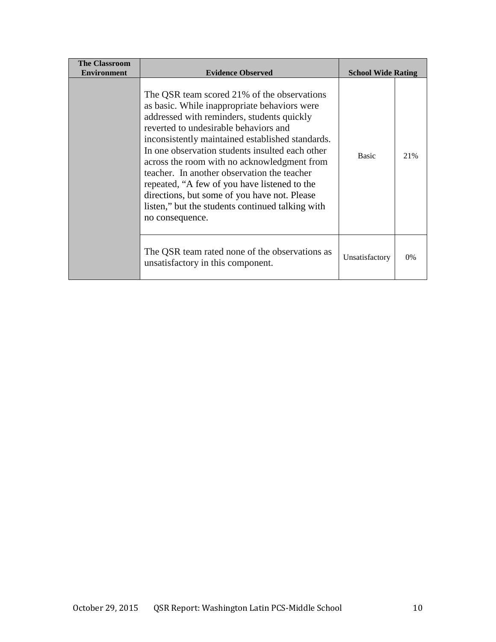| <b>The Classroom</b><br><b>Environment</b> | <b>Evidence Observed</b>                                                                                                                                                                                                                                                                                                                                                                                                                                                                                                                                       | <b>School Wide Rating</b> |       |
|--------------------------------------------|----------------------------------------------------------------------------------------------------------------------------------------------------------------------------------------------------------------------------------------------------------------------------------------------------------------------------------------------------------------------------------------------------------------------------------------------------------------------------------------------------------------------------------------------------------------|---------------------------|-------|
|                                            | The QSR team scored 21% of the observations<br>as basic. While inappropriate behaviors were<br>addressed with reminders, students quickly<br>reverted to undesirable behaviors and<br>inconsistently maintained established standards.<br>In one observation students insulted each other<br>across the room with no acknowledgment from<br>teacher. In another observation the teacher<br>repeated, "A few of you have listened to the<br>directions, but some of you have not. Please<br>listen," but the students continued talking with<br>no consequence. | <b>Basic</b>              | 21%   |
|                                            | The QSR team rated none of the observations as<br>unsatisfactory in this component.                                                                                                                                                                                                                                                                                                                                                                                                                                                                            | Unsatisfactory            | $0\%$ |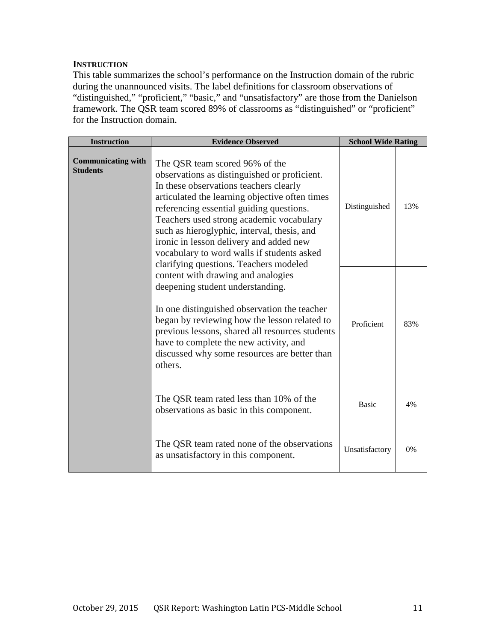#### **INSTRUCTION**

This table summarizes the school's performance on the Instruction domain of the rubric during the unannounced visits. The label definitions for classroom observations of "distinguished," "proficient," "basic," and "unsatisfactory" are those from the Danielson framework. The QSR team scored 89% of classrooms as "distinguished" or "proficient" for the Instruction domain.

| <b>Instruction</b>                           | <b>Evidence Observed</b>                                                                                                                                                                                                                                                                                                                                                                                                                             | <b>School Wide Rating</b> |     |
|----------------------------------------------|------------------------------------------------------------------------------------------------------------------------------------------------------------------------------------------------------------------------------------------------------------------------------------------------------------------------------------------------------------------------------------------------------------------------------------------------------|---------------------------|-----|
| <b>Communicating with</b><br><b>Students</b> | The QSR team scored 96% of the<br>observations as distinguished or proficient.<br>In these observations teachers clearly<br>articulated the learning objective often times<br>referencing essential guiding questions.<br>Teachers used strong academic vocabulary<br>such as hieroglyphic, interval, thesis, and<br>ironic in lesson delivery and added new<br>vocabulary to word walls if students asked<br>clarifying questions. Teachers modeled | Distinguished             | 13% |
|                                              | content with drawing and analogies<br>deepening student understanding.<br>In one distinguished observation the teacher<br>began by reviewing how the lesson related to<br>previous lessons, shared all resources students<br>have to complete the new activity, and<br>discussed why some resources are better than<br>others.                                                                                                                       | Proficient                | 83% |
|                                              | The QSR team rated less than 10% of the<br>observations as basic in this component.                                                                                                                                                                                                                                                                                                                                                                  | <b>Basic</b>              | 4%  |
|                                              | The QSR team rated none of the observations<br>as unsatisfactory in this component.                                                                                                                                                                                                                                                                                                                                                                  | Unsatisfactory            | 0%  |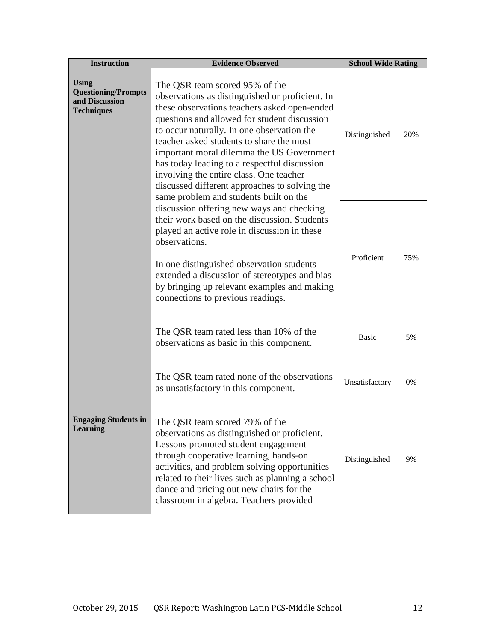| <b>Instruction</b>                                                                | <b>Evidence Observed</b>                                                                                                                                                                                                                                                                                                                                                                                                                                                                                       | <b>School Wide Rating</b> |     |
|-----------------------------------------------------------------------------------|----------------------------------------------------------------------------------------------------------------------------------------------------------------------------------------------------------------------------------------------------------------------------------------------------------------------------------------------------------------------------------------------------------------------------------------------------------------------------------------------------------------|---------------------------|-----|
| <b>Using</b><br><b>Questioning/Prompts</b><br>and Discussion<br><b>Techniques</b> | The QSR team scored 95% of the<br>observations as distinguished or proficient. In<br>these observations teachers asked open-ended<br>questions and allowed for student discussion<br>to occur naturally. In one observation the<br>teacher asked students to share the most<br>important moral dilemma the US Government<br>has today leading to a respectful discussion<br>involving the entire class. One teacher<br>discussed different approaches to solving the<br>same problem and students built on the | Distinguished             | 20% |
|                                                                                   | discussion offering new ways and checking<br>their work based on the discussion. Students<br>played an active role in discussion in these<br>observations.<br>In one distinguished observation students<br>extended a discussion of stereotypes and bias<br>by bringing up relevant examples and making<br>connections to previous readings.                                                                                                                                                                   | Proficient                | 75% |
|                                                                                   | The QSR team rated less than 10% of the<br>observations as basic in this component.                                                                                                                                                                                                                                                                                                                                                                                                                            | <b>Basic</b>              | 5%  |
|                                                                                   | The QSR team rated none of the observations<br>as unsatisfactory in this component.                                                                                                                                                                                                                                                                                                                                                                                                                            | Unsatisfactory            | 0%  |
| <b>Learning</b>                                                                   | Engaging Students in   The QSR team scored 79% of the<br>observations as distinguished or proficient.<br>Lessons promoted student engagement<br>through cooperative learning, hands-on<br>activities, and problem solving opportunities<br>related to their lives such as planning a school<br>dance and pricing out new chairs for the<br>classroom in algebra. Teachers provided                                                                                                                             | Distinguished             | 9%  |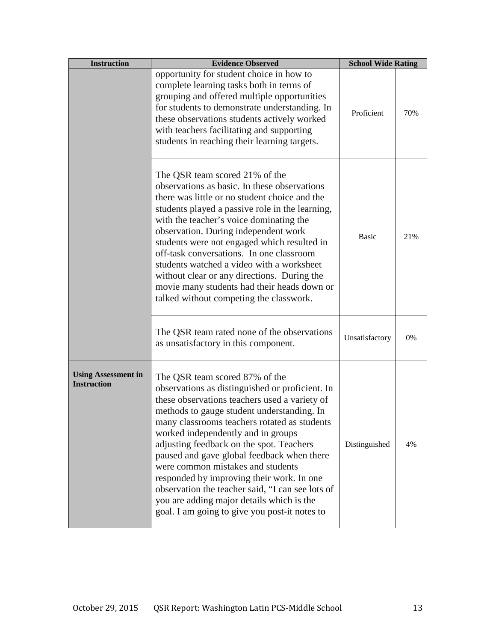| <b>Instruction</b>                               | <b>Evidence Observed</b>                                                                                                                                                                                                                                                                                                                                                                                                                                                                                                                                                                             | <b>School Wide Rating</b> |     |
|--------------------------------------------------|------------------------------------------------------------------------------------------------------------------------------------------------------------------------------------------------------------------------------------------------------------------------------------------------------------------------------------------------------------------------------------------------------------------------------------------------------------------------------------------------------------------------------------------------------------------------------------------------------|---------------------------|-----|
|                                                  | opportunity for student choice in how to<br>complete learning tasks both in terms of<br>grouping and offered multiple opportunities<br>for students to demonstrate understanding. In<br>these observations students actively worked<br>with teachers facilitating and supporting<br>students in reaching their learning targets.                                                                                                                                                                                                                                                                     | Proficient                | 70% |
|                                                  | The QSR team scored 21% of the<br>observations as basic. In these observations<br>there was little or no student choice and the<br>students played a passive role in the learning,<br>with the teacher's voice dominating the<br>observation. During independent work<br>students were not engaged which resulted in<br>off-task conversations. In one classroom<br>students watched a video with a worksheet<br>without clear or any directions. During the<br>movie many students had their heads down or<br>talked without competing the classwork.                                               | <b>Basic</b>              | 21% |
|                                                  | The QSR team rated none of the observations<br>as unsatisfactory in this component.                                                                                                                                                                                                                                                                                                                                                                                                                                                                                                                  | Unsatisfactory            | 0%  |
| <b>Using Assessment in</b><br><b>Instruction</b> | The QSR team scored 87% of the<br>observations as distinguished or proficient. In<br>these observations teachers used a variety of<br>methods to gauge student understanding. In<br>many classrooms teachers rotated as students<br>worked independently and in groups<br>adjusting feedback on the spot. Teachers<br>paused and gave global feedback when there<br>were common mistakes and students<br>responded by improving their work. In one<br>observation the teacher said, "I can see lots of<br>you are adding major details which is the<br>goal. I am going to give you post-it notes to | Distinguished             | 4%  |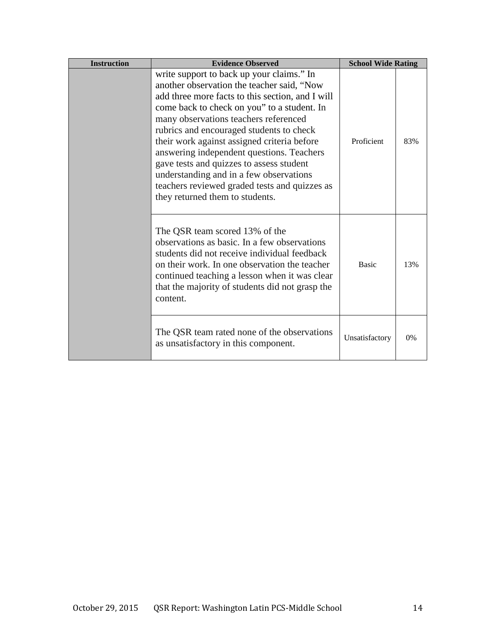| <b>Instruction</b> | <b>Evidence Observed</b>                                                                                                                                                                                                                                                                                                                                                                                                                                                                                                                               | <b>School Wide Rating</b> |       |
|--------------------|--------------------------------------------------------------------------------------------------------------------------------------------------------------------------------------------------------------------------------------------------------------------------------------------------------------------------------------------------------------------------------------------------------------------------------------------------------------------------------------------------------------------------------------------------------|---------------------------|-------|
|                    | write support to back up your claims." In<br>another observation the teacher said, "Now<br>add three more facts to this section, and I will<br>come back to check on you" to a student. In<br>many observations teachers referenced<br>rubrics and encouraged students to check<br>their work against assigned criteria before<br>answering independent questions. Teachers<br>gave tests and quizzes to assess student<br>understanding and in a few observations<br>teachers reviewed graded tests and quizzes as<br>they returned them to students. | Proficient                | 83%   |
|                    | The QSR team scored 13% of the<br>observations as basic. In a few observations<br>students did not receive individual feedback<br>on their work. In one observation the teacher<br>continued teaching a lesson when it was clear<br>that the majority of students did not grasp the<br>content.                                                                                                                                                                                                                                                        | <b>Basic</b>              | 13%   |
|                    | The QSR team rated none of the observations<br>as unsatisfactory in this component.                                                                                                                                                                                                                                                                                                                                                                                                                                                                    | Unsatisfactory            | $0\%$ |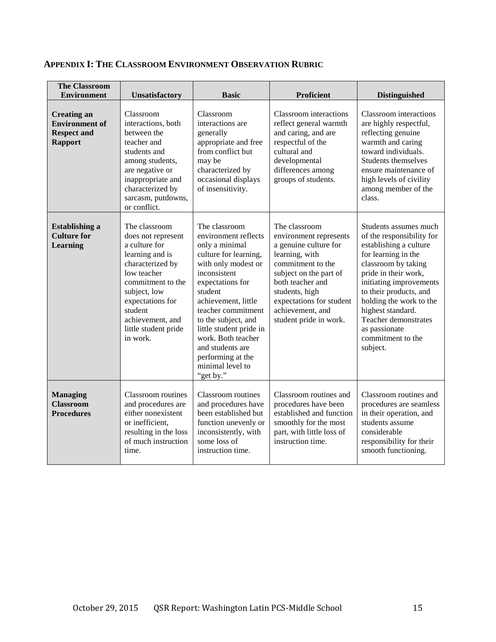| <b>The Classroom</b><br><b>Environment</b>                                          | <b>Unsatisfactory</b>                                                                                                                                                                                                                  | <b>Basic</b>                                                                                                                                                                                                                                                                                                                                          | <b>Proficient</b>                                                                                                                                                                                                                                 | <b>Distinguished</b>                                                                                                                                                                                                                                                                                                              |
|-------------------------------------------------------------------------------------|----------------------------------------------------------------------------------------------------------------------------------------------------------------------------------------------------------------------------------------|-------------------------------------------------------------------------------------------------------------------------------------------------------------------------------------------------------------------------------------------------------------------------------------------------------------------------------------------------------|---------------------------------------------------------------------------------------------------------------------------------------------------------------------------------------------------------------------------------------------------|-----------------------------------------------------------------------------------------------------------------------------------------------------------------------------------------------------------------------------------------------------------------------------------------------------------------------------------|
| <b>Creating an</b><br><b>Environment</b> of<br><b>Respect and</b><br><b>Rapport</b> | Classroom<br>interactions, both<br>between the<br>teacher and<br>students and<br>among students,<br>are negative or<br>inappropriate and<br>characterized by<br>sarcasm, putdowns,<br>or conflict.                                     | Classroom<br>interactions are<br>generally<br>appropriate and free<br>from conflict but<br>may be<br>characterized by<br>occasional displays<br>of insensitivity.                                                                                                                                                                                     | <b>Classroom</b> interactions<br>reflect general warmth<br>and caring, and are<br>respectful of the<br>cultural and<br>developmental<br>differences among<br>groups of students.                                                                  | <b>Classroom</b> interactions<br>are highly respectful,<br>reflecting genuine<br>warmth and caring<br>toward individuals.<br>Students themselves<br>ensure maintenance of<br>high levels of civility<br>among member of the<br>class.                                                                                             |
| <b>Establishing a</b><br><b>Culture for</b><br>Learning                             | The classroom<br>does not represent<br>a culture for<br>learning and is<br>characterized by<br>low teacher<br>commitment to the<br>subject, low<br>expectations for<br>student<br>achievement, and<br>little student pride<br>in work. | The classroom<br>environment reflects<br>only a minimal<br>culture for learning,<br>with only modest or<br>inconsistent<br>expectations for<br>student<br>achievement, little<br>teacher commitment<br>to the subject, and<br>little student pride in<br>work. Both teacher<br>and students are<br>performing at the<br>minimal level to<br>"get by." | The classroom<br>environment represents<br>a genuine culture for<br>learning, with<br>commitment to the<br>subject on the part of<br>both teacher and<br>students, high<br>expectations for student<br>achievement, and<br>student pride in work. | Students assumes much<br>of the responsibility for<br>establishing a culture<br>for learning in the<br>classroom by taking<br>pride in their work,<br>initiating improvements<br>to their products, and<br>holding the work to the<br>highest standard.<br>Teacher demonstrates<br>as passionate<br>commitment to the<br>subject. |
| <b>Managing</b><br><b>Classroom</b><br><b>Procedures</b>                            | Classroom routines<br>and procedures are<br>either nonexistent<br>or inefficient,<br>resulting in the loss<br>of much instruction<br>time.                                                                                             | <b>Classroom</b> routines<br>and procedures have<br>been established but<br>function unevenly or<br>inconsistently, with<br>some loss of<br>instruction time.                                                                                                                                                                                         | Classroom routines and<br>procedures have been<br>established and function<br>smoothly for the most<br>part, with little loss of<br>instruction time.                                                                                             | Classroom routines and<br>procedures are seamless<br>in their operation, and<br>students assume<br>considerable<br>responsibility for their<br>smooth functioning.                                                                                                                                                                |

# **APPENDIX I: THE CLASSROOM ENVIRONMENT OBSERVATION RUBRIC**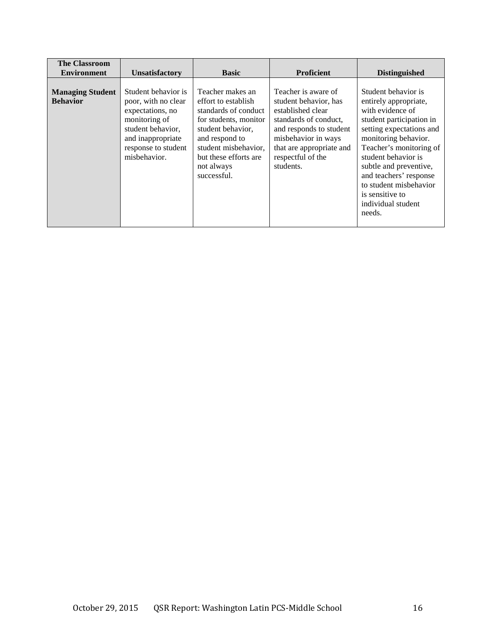| <b>The Classroom</b>                       |                                                                                                                                                                  |                                                                                                                                                                                                               |                                                                                                                                                                                                            |                                                                                                                                                                                                                                                                                                                                     |
|--------------------------------------------|------------------------------------------------------------------------------------------------------------------------------------------------------------------|---------------------------------------------------------------------------------------------------------------------------------------------------------------------------------------------------------------|------------------------------------------------------------------------------------------------------------------------------------------------------------------------------------------------------------|-------------------------------------------------------------------------------------------------------------------------------------------------------------------------------------------------------------------------------------------------------------------------------------------------------------------------------------|
| <b>Environment</b>                         | <b>Unsatisfactory</b>                                                                                                                                            | <b>Basic</b>                                                                                                                                                                                                  | <b>Proficient</b>                                                                                                                                                                                          | <b>Distinguished</b>                                                                                                                                                                                                                                                                                                                |
| <b>Managing Student</b><br><b>Behavior</b> | Student behavior is<br>poor, with no clear<br>expectations, no<br>monitoring of<br>student behavior,<br>and inappropriate<br>response to student<br>misbehavior. | Teacher makes an<br>effort to establish<br>standards of conduct<br>for students, monitor<br>student behavior,<br>and respond to<br>student misbehavior,<br>but these efforts are<br>not always<br>successful. | Teacher is aware of<br>student behavior, has<br>established clear<br>standards of conduct.<br>and responds to student<br>misbehavior in ways<br>that are appropriate and<br>respectful of the<br>students. | Student behavior is<br>entirely appropriate,<br>with evidence of<br>student participation in<br>setting expectations and<br>monitoring behavior.<br>Teacher's monitoring of<br>student behavior is<br>subtle and preventive,<br>and teachers' response<br>to student misbehavior<br>is sensitive to<br>individual student<br>needs. |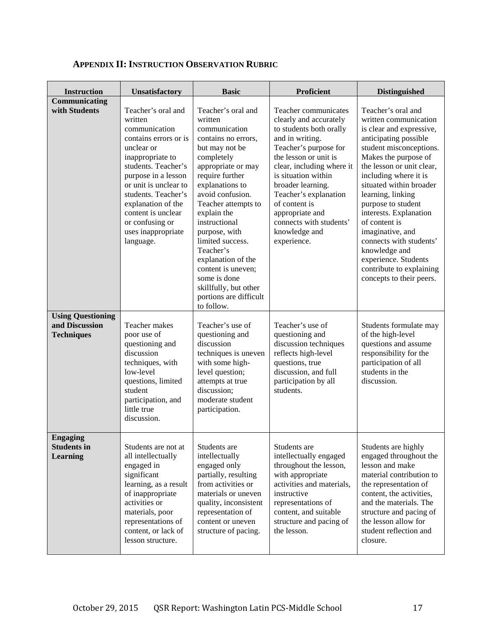| <b>Instruction</b>                                              | Unsatisfactory                                                                                                                                                                                                                                                                                            | <b>Basic</b>                                                                                                                                                                                                                                                                                                                                                                                                                | Proficient                                                                                                                                                                                                                                                                                                                                      | <b>Distinguished</b>                                                                                                                                                                                                                                                                                                                                                                                                                                                       |
|-----------------------------------------------------------------|-----------------------------------------------------------------------------------------------------------------------------------------------------------------------------------------------------------------------------------------------------------------------------------------------------------|-----------------------------------------------------------------------------------------------------------------------------------------------------------------------------------------------------------------------------------------------------------------------------------------------------------------------------------------------------------------------------------------------------------------------------|-------------------------------------------------------------------------------------------------------------------------------------------------------------------------------------------------------------------------------------------------------------------------------------------------------------------------------------------------|----------------------------------------------------------------------------------------------------------------------------------------------------------------------------------------------------------------------------------------------------------------------------------------------------------------------------------------------------------------------------------------------------------------------------------------------------------------------------|
| Communicating<br>with Students                                  | Teacher's oral and<br>written<br>communication<br>contains errors or is<br>unclear or<br>inappropriate to<br>students. Teacher's<br>purpose in a lesson<br>or unit is unclear to<br>students. Teacher's<br>explanation of the<br>content is unclear<br>or confusing or<br>uses inappropriate<br>language. | Teacher's oral and<br>written<br>communication<br>contains no errors,<br>but may not be<br>completely<br>appropriate or may<br>require further<br>explanations to<br>avoid confusion.<br>Teacher attempts to<br>explain the<br>instructional<br>purpose, with<br>limited success.<br>Teacher's<br>explanation of the<br>content is uneven;<br>some is done<br>skillfully, but other<br>portions are difficult<br>to follow. | Teacher communicates<br>clearly and accurately<br>to students both orally<br>and in writing.<br>Teacher's purpose for<br>the lesson or unit is<br>clear, including where it<br>is situation within<br>broader learning.<br>Teacher's explanation<br>of content is<br>appropriate and<br>connects with students'<br>knowledge and<br>experience. | Teacher's oral and<br>written communication<br>is clear and expressive,<br>anticipating possible<br>student misconceptions.<br>Makes the purpose of<br>the lesson or unit clear,<br>including where it is<br>situated within broader<br>learning, linking<br>purpose to student<br>interests. Explanation<br>of content is<br>imaginative, and<br>connects with students'<br>knowledge and<br>experience. Students<br>contribute to explaining<br>concepts to their peers. |
| <b>Using Questioning</b><br>and Discussion<br><b>Techniques</b> | Teacher makes<br>poor use of<br>questioning and<br>discussion<br>techniques, with<br>low-level<br>questions, limited<br>student<br>participation, and<br>little true<br>discussion.                                                                                                                       | Teacher's use of<br>questioning and<br>discussion<br>techniques is uneven<br>with some high-<br>level question;<br>attempts at true<br>discussion;<br>moderate student<br>participation.                                                                                                                                                                                                                                    | Teacher's use of<br>questioning and<br>discussion techniques<br>reflects high-level<br>questions, true<br>discussion, and full<br>participation by all<br>students.                                                                                                                                                                             | Students formulate may<br>of the high-level<br>questions and assume<br>responsibility for the<br>participation of all<br>students in the<br>discussion.                                                                                                                                                                                                                                                                                                                    |
| <b>Engaging</b><br><b>Students in</b><br><b>Learning</b>        | Students are not at<br>all intellectually<br>engaged in<br>significant<br>learning, as a result<br>of inappropriate<br>activities or<br>materials, poor<br>representations of<br>content, or lack of<br>lesson structure.                                                                                 | Students are<br>intellectually<br>engaged only<br>partially, resulting<br>from activities or<br>materials or uneven<br>quality, inconsistent<br>representation of<br>content or uneven<br>structure of pacing.                                                                                                                                                                                                              | Students are<br>intellectually engaged<br>throughout the lesson,<br>with appropriate<br>activities and materials,<br>instructive<br>representations of<br>content, and suitable<br>structure and pacing of<br>the lesson.                                                                                                                       | Students are highly<br>engaged throughout the<br>lesson and make<br>material contribution to<br>the representation of<br>content, the activities,<br>and the materials. The<br>structure and pacing of<br>the lesson allow for<br>student reflection and<br>closure.                                                                                                                                                                                                       |

# **APPENDIX II: INSTRUCTION OBSERVATION RUBRIC**